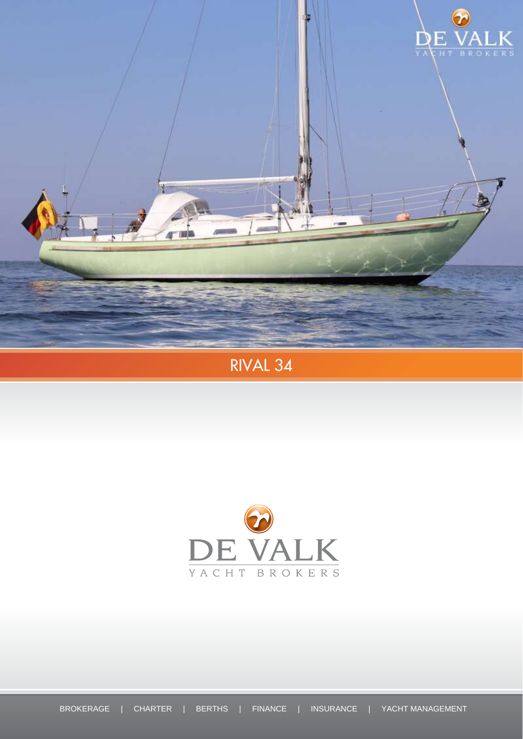



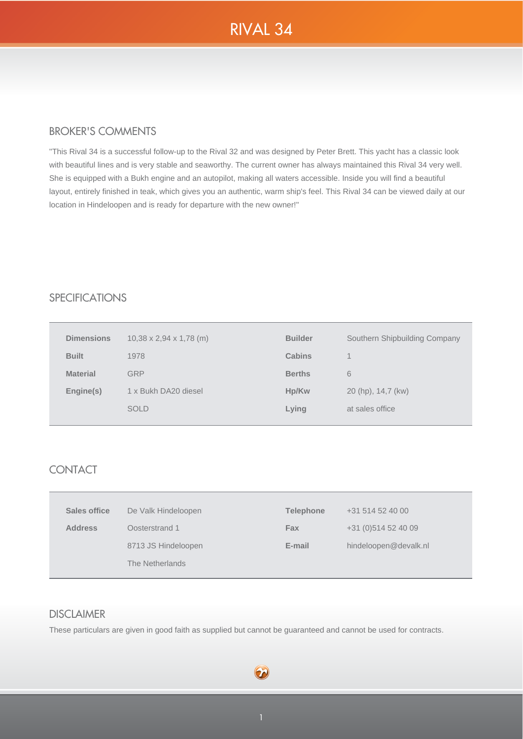#### **BROKER'S COMMENTS**

''This Rival 34 is a successful follow-up to the Rival 32 and was designed by Peter Brett. This yacht has a classic look with beautiful lines and is very stable and seaworthy. The current owner has always maintained this Rival 34 very well. She is equipped with a Bukh engine and an autopilot, making all waters accessible. Inside you will find a beautiful layout, entirely finished in teak, which gives you an authentic, warm ship's feel. This Rival 34 can be viewed daily at our location in Hindeloopen and is ready for departure with the new owner!''

#### **SPECIFICATIONS**

| <b>Dimensions</b> | $10,38 \times 2,94 \times 1,78$ (m) | <b>Builder</b> | Southern Shipbuilding Company |
|-------------------|-------------------------------------|----------------|-------------------------------|
| <b>Built</b>      | 1978                                | Cabins         | 1                             |
| <b>Material</b>   | <b>GRP</b>                          | <b>Berths</b>  | 6                             |
| Engine(s)         | 1 x Bukh DA20 diesel                | Hp/Kw          | 20 (hp), 14,7 (kw)            |
|                   | <b>SOLD</b>                         | Lying          | at sales office               |
|                   |                                     |                |                               |

### **CONTACT**

| Sales office   | De Valk Hindeloopen | <b>Telephone</b> | +31 514 52 40 00      |
|----------------|---------------------|------------------|-----------------------|
| <b>Address</b> | Oosterstrand 1      | <b>Fax</b>       | +31 (0) 514 52 40 09  |
|                | 8713 JS Hindeloopen | E-mail           | hindeloopen@devalk.nl |
|                | The Netherlands     |                  |                       |

#### **DISCLAIMER**

These particulars are given in good faith as supplied but cannot be guaranteed and cannot be used for contracts.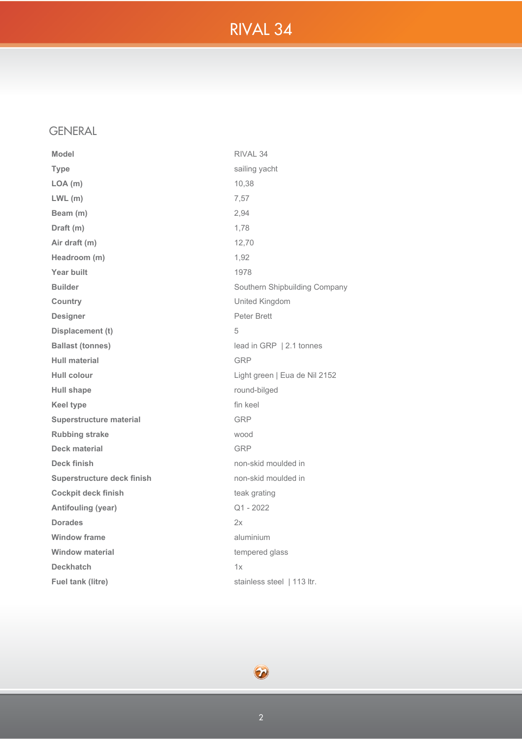### **GENERAL**

| <b>Model</b>                   | RIVAL <sub>34</sub>           |
|--------------------------------|-------------------------------|
| <b>Type</b>                    | sailing yacht                 |
| LOA(m)                         | 10,38                         |
| $LWL$ (m)                      | 7,57                          |
| Beam (m)                       | 2,94                          |
| Draft (m)                      | 1,78                          |
| Air draft (m)                  | 12,70                         |
| Headroom (m)                   | 1,92                          |
| Year built                     | 1978                          |
| <b>Builder</b>                 | Southern Shipbuilding Company |
| Country                        | United Kingdom                |
| <b>Designer</b>                | Peter Brett                   |
| Displacement (t)               | 5                             |
| <b>Ballast (tonnes)</b>        | lead in GRP   2.1 tonnes      |
| <b>Hull material</b>           | <b>GRP</b>                    |
| <b>Hull colour</b>             | Light green   Eua de Nil 2152 |
| <b>Hull shape</b>              | round-bilged                  |
| <b>Keel type</b>               | fin keel                      |
| <b>Superstructure material</b> | <b>GRP</b>                    |
| <b>Rubbing strake</b>          | wood                          |
| Deck material                  | GRP                           |
| Deck finish                    | non-skid moulded in           |
| Superstructure deck finish     | non-skid moulded in           |
| <b>Cockpit deck finish</b>     | teak grating                  |
| Antifouling (year)             | $Q1 - 2022$                   |
| <b>Dorades</b>                 | 2x                            |
| <b>Window frame</b>            | aluminium                     |
| <b>Window material</b>         | tempered glass                |
| <b>Deckhatch</b>               | 1x                            |
| Fuel tank (litre)              | stainless steel   113 ltr.    |

 $\odot$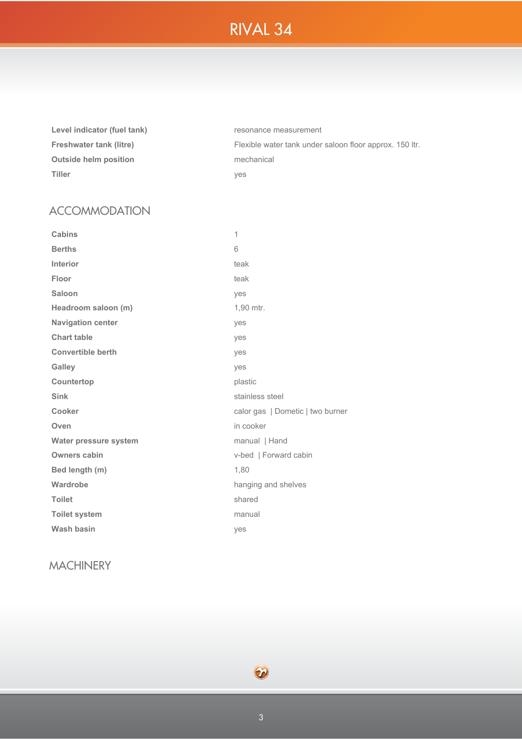**Level indicator (fuel tank) resonance measurement Outside helm position mechanical Tiller yes**

**Freshwater tank (litre) Flexible water tank under saloon floor approx. 150 ltr.**

## **ACCOMMODATION**

| Cabins                   | 1                                |
|--------------------------|----------------------------------|
| <b>Berths</b>            | 6                                |
| Interior                 | teak                             |
| Floor                    | teak                             |
| Saloon                   | yes                              |
| Headroom saloon (m)      | 1,90 mtr.                        |
| <b>Navigation center</b> | yes                              |
| <b>Chart table</b>       | yes                              |
| <b>Convertible berth</b> | yes                              |
| <b>Galley</b>            | yes                              |
| Countertop               | plastic                          |
| <b>Sink</b>              | stainless steel                  |
| Cooker                   | calor gas   Dometic   two burner |
| Oven                     | in cooker                        |
| Water pressure system    | manual   Hand                    |
| Owners cabin             | v-bed   Forward cabin            |
| Bed length (m)           | 1,80                             |
| Wardrobe                 | hanging and shelves              |
| <b>Toilet</b>            | shared                           |
| <b>Toilet system</b>     | manual                           |
| Wash basin               | yes                              |

### **MACHINERY**

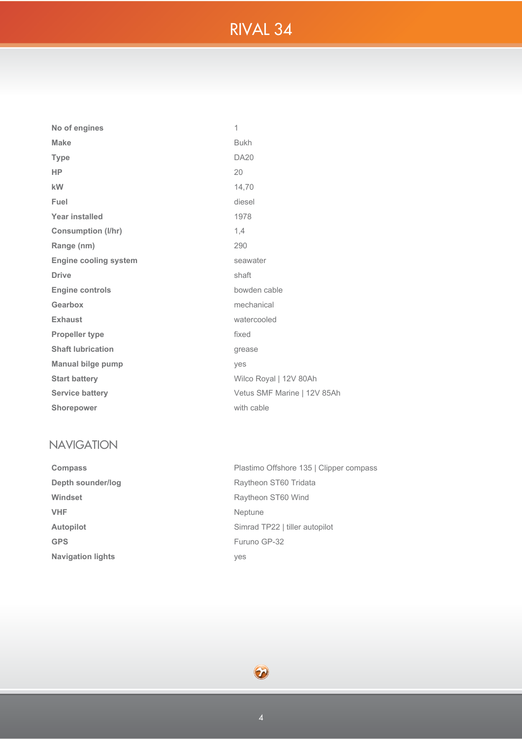| No of engines                | 1                           |
|------------------------------|-----------------------------|
| <b>Make</b>                  | <b>Bukh</b>                 |
| <b>Type</b>                  | <b>DA20</b>                 |
| <b>HP</b>                    | 20                          |
| kW                           | 14,70                       |
| Fuel                         | diesel                      |
| Year installed               | 1978                        |
| Consumption (I/hr)           | 1,4                         |
| Range (nm)                   | 290                         |
| <b>Engine cooling system</b> | seawater                    |
| <b>Drive</b>                 | shaft                       |
| <b>Engine controls</b>       | bowden cable                |
| Gearbox                      | mechanical                  |
| <b>Exhaust</b>               | watercooled                 |
| <b>Propeller type</b>        | fixed                       |
| <b>Shaft lubrication</b>     | grease                      |
| <b>Manual bilge pump</b>     | yes                         |
| <b>Start battery</b>         | Wilco Royal   12V 80Ah      |
| <b>Service battery</b>       | Vetus SMF Marine   12V 85Ah |
| Shorepower                   | with cable                  |

## **NAVIGATION**

| <b>Compass</b>           | Plastimo Offshore 135   Clipper compass |
|--------------------------|-----------------------------------------|
| Depth sounder/log        | Raytheon ST60 Tridata                   |
| Windset                  | Raytheon ST60 Wind                      |
| <b>VHF</b>               | <b>Neptune</b>                          |
| <b>Autopilot</b>         | Simrad TP22   tiller autopilot          |
| <b>GPS</b>               | Furuno GP-32                            |
| <b>Navigation lights</b> | yes                                     |
|                          |                                         |

 $\bigcirc$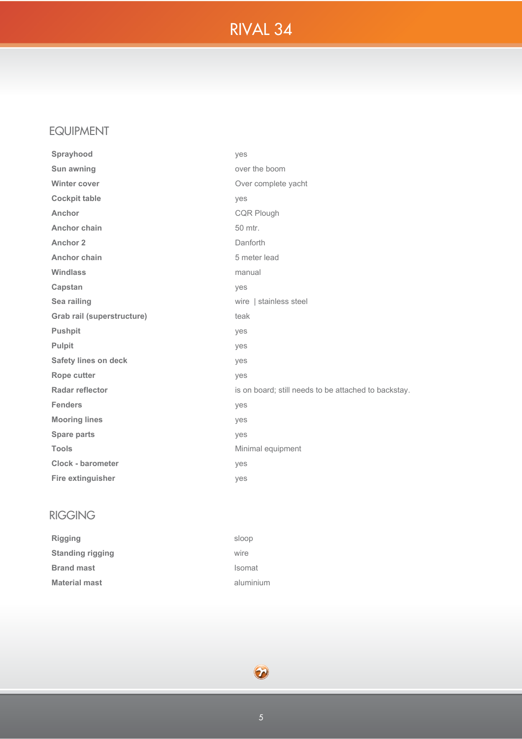### **EQUIPMENT**

| Sprayhood                   | yes                                                  |
|-----------------------------|------------------------------------------------------|
| Sun awning                  | over the boom                                        |
| <b>Winter cover</b>         | Over complete yacht                                  |
| <b>Cockpit table</b>        | yes                                                  |
| Anchor                      | <b>CQR Plough</b>                                    |
| Anchor chain                | 50 mtr.                                              |
| Anchor 2                    | Danforth                                             |
| Anchor chain                | 5 meter lead                                         |
| <b>Windlass</b>             | manual                                               |
| Capstan                     | yes                                                  |
| Sea railing                 | wire   stainless steel                               |
| Grab rail (superstructure)  | teak                                                 |
| <b>Pushpit</b>              | yes                                                  |
| <b>Pulpit</b>               | yes                                                  |
| <b>Safety lines on deck</b> | yes                                                  |
| Rope cutter                 | yes                                                  |
| Radar reflector             | is on board; still needs to be attached to backstay. |
| <b>Fenders</b>              | yes                                                  |
| <b>Mooring lines</b>        | yes                                                  |
| <b>Spare parts</b>          | yes                                                  |
| <b>Tools</b>                | Minimal equipment                                    |
| <b>Clock - barometer</b>    | yes                                                  |
| <b>Fire extinguisher</b>    | yes                                                  |

## **RIGGING**

| <b>Rigging</b>          | sloop         |
|-------------------------|---------------|
| <b>Standing rigging</b> | wire          |
| <b>Brand mast</b>       | <b>Isomat</b> |
| <b>Material mast</b>    | aluminium     |

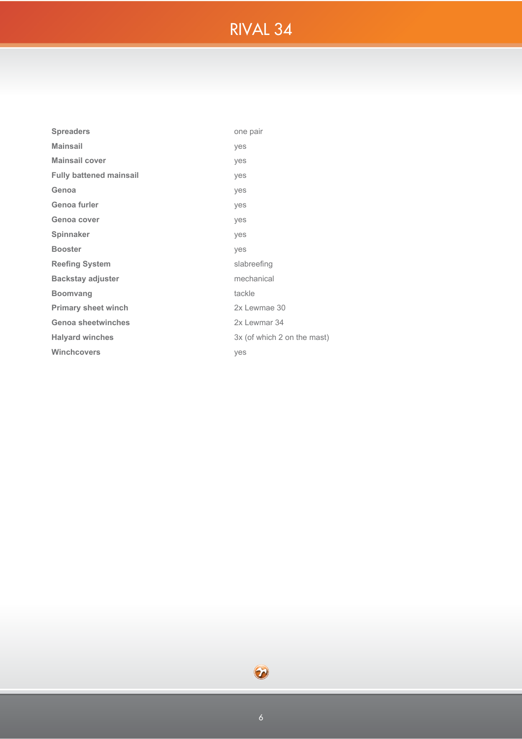| <b>Spreaders</b>               | one pair                    |
|--------------------------------|-----------------------------|
| <b>Mainsail</b>                | yes                         |
| <b>Mainsail cover</b>          | yes                         |
| <b>Fully battened mainsail</b> | yes                         |
| Genoa                          | yes                         |
| Genoa furler                   | yes                         |
| Genoa cover                    | yes                         |
| <b>Spinnaker</b>               | yes                         |
| <b>Booster</b>                 | yes                         |
| <b>Reefing System</b>          | slabreefing                 |
| <b>Backstay adjuster</b>       | mechanical                  |
| <b>Boomvang</b>                | tackle                      |
| <b>Primary sheet winch</b>     | 2x Lewmae 30                |
| Genoa sheetwinches             | 2x Lewmar 34                |
| <b>Halyard winches</b>         | 3x (of which 2 on the mast) |
| <b>Winchcovers</b>             | yes                         |

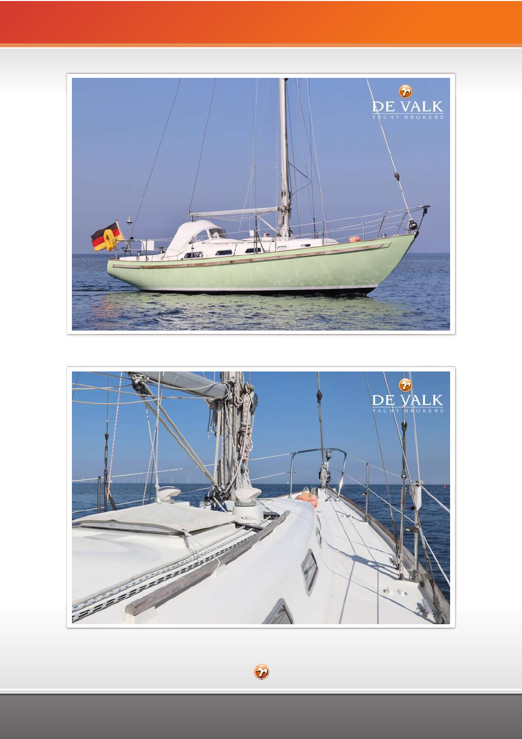$5,9$  \$ /



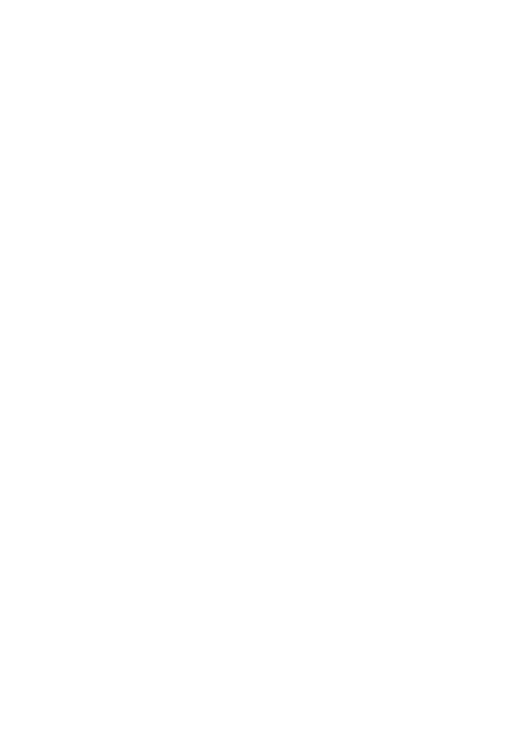| ---- |  |
|------|--|
|      |  |
|      |  |
|      |  |
|      |  |
|      |  |
|      |  |
|      |  |
|      |  |
|      |  |
|      |  |
|      |  |
|      |  |
|      |  |
|      |  |
|      |  |
|      |  |
|      |  |
|      |  |
|      |  |
|      |  |
|      |  |
|      |  |
|      |  |
|      |  |
|      |  |
|      |  |
|      |  |
|      |  |
|      |  |
|      |  |
|      |  |
|      |  |
|      |  |
|      |  |
|      |  |
|      |  |
|      |  |
|      |  |
|      |  |
|      |  |
|      |  |
|      |  |
|      |  |
|      |  |
|      |  |
|      |  |
|      |  |
|      |  |
|      |  |
|      |  |
|      |  |
|      |  |
|      |  |
|      |  |
|      |  |
|      |  |
|      |  |
|      |  |

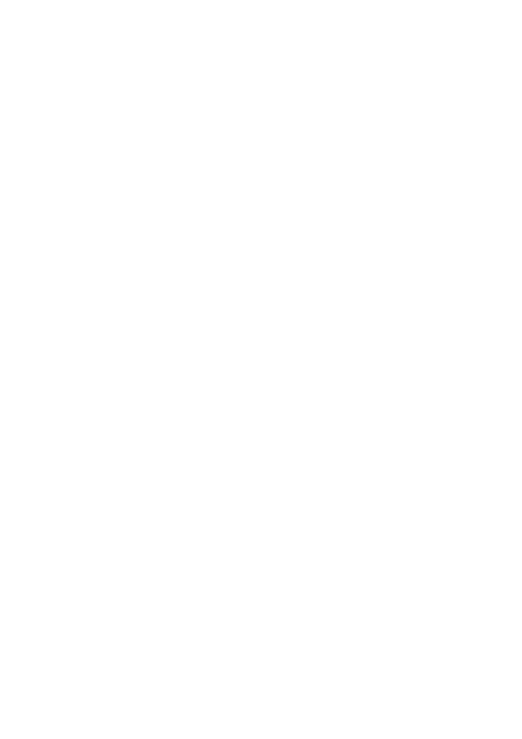| ---- |  |
|------|--|
|      |  |
|      |  |
|      |  |
|      |  |
|      |  |
|      |  |
|      |  |
|      |  |
|      |  |
|      |  |
|      |  |
|      |  |
|      |  |
|      |  |
|      |  |
|      |  |
|      |  |
|      |  |
|      |  |
|      |  |
|      |  |
|      |  |
|      |  |
|      |  |
|      |  |
|      |  |
|      |  |
|      |  |
|      |  |
|      |  |
|      |  |
|      |  |
|      |  |
|      |  |
|      |  |
|      |  |
|      |  |
|      |  |
|      |  |
|      |  |
|      |  |
|      |  |
|      |  |
|      |  |
|      |  |
|      |  |
|      |  |
|      |  |
|      |  |
|      |  |
|      |  |
|      |  |
|      |  |
|      |  |
|      |  |
|      |  |
|      |  |
|      |  |

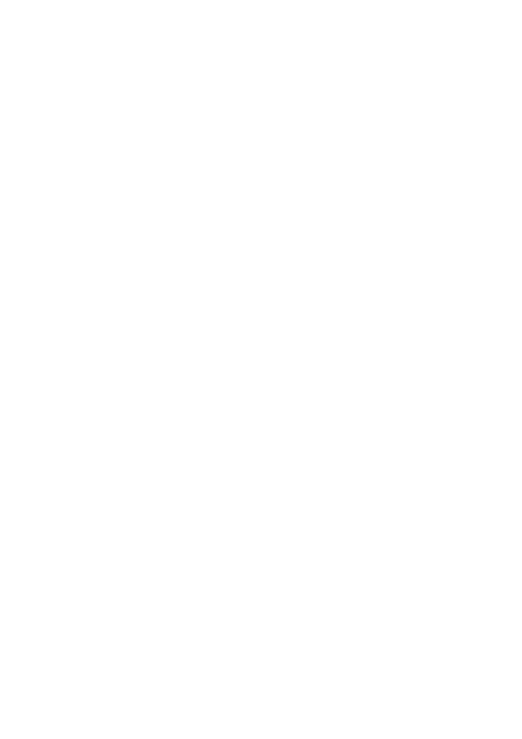| ---- |  |
|------|--|
|      |  |
|      |  |
|      |  |
|      |  |
|      |  |
|      |  |
|      |  |
|      |  |
|      |  |
|      |  |
|      |  |
|      |  |
|      |  |
|      |  |
|      |  |
|      |  |
|      |  |
|      |  |
|      |  |
|      |  |
|      |  |
|      |  |
|      |  |
|      |  |
|      |  |
|      |  |
|      |  |
|      |  |
|      |  |
|      |  |
|      |  |
|      |  |
|      |  |
|      |  |
|      |  |
|      |  |
|      |  |
|      |  |
|      |  |
|      |  |
|      |  |
|      |  |
|      |  |
|      |  |
|      |  |
|      |  |
|      |  |
|      |  |
|      |  |
|      |  |
|      |  |
|      |  |
|      |  |
|      |  |
|      |  |
|      |  |
|      |  |
|      |  |

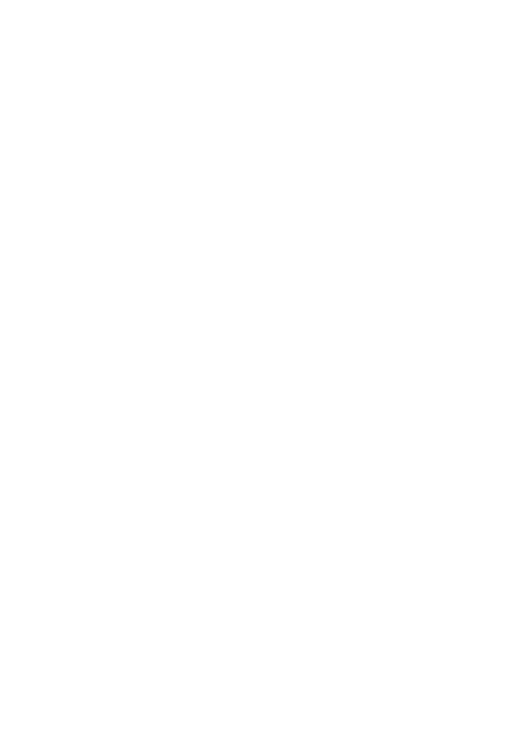| ---- |  |
|------|--|
|      |  |
|      |  |
|      |  |
|      |  |
|      |  |
|      |  |
|      |  |
|      |  |
|      |  |
|      |  |
|      |  |
|      |  |
|      |  |
|      |  |
|      |  |
|      |  |
|      |  |
|      |  |
|      |  |
|      |  |
|      |  |
|      |  |
|      |  |
|      |  |
|      |  |
|      |  |
|      |  |
|      |  |
|      |  |
|      |  |
|      |  |
|      |  |
|      |  |
|      |  |
|      |  |
|      |  |
|      |  |
|      |  |
|      |  |
|      |  |
|      |  |
|      |  |
|      |  |
|      |  |
|      |  |
|      |  |
|      |  |
|      |  |
|      |  |
|      |  |
|      |  |
|      |  |
|      |  |
|      |  |
|      |  |
|      |  |
|      |  |
|      |  |

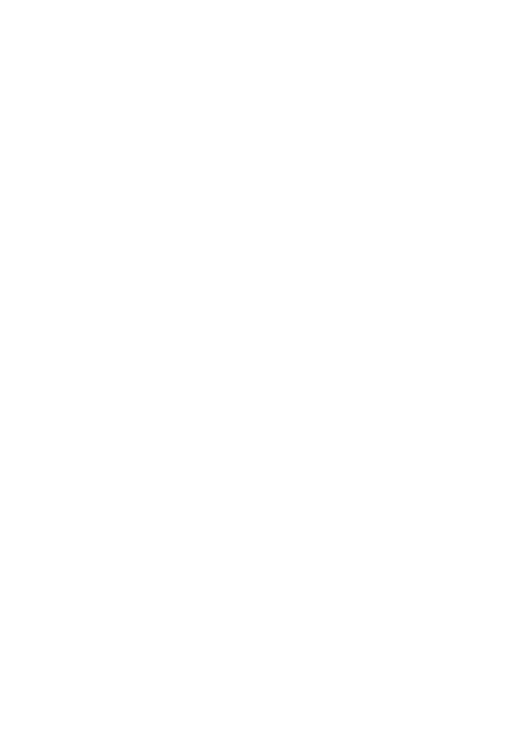| ---- |  |
|------|--|
|      |  |
|      |  |
|      |  |
|      |  |
|      |  |
|      |  |
|      |  |
|      |  |
|      |  |
|      |  |
|      |  |
|      |  |
|      |  |
|      |  |
|      |  |
|      |  |
|      |  |
|      |  |
|      |  |
|      |  |
|      |  |
|      |  |
|      |  |
|      |  |
|      |  |
|      |  |
|      |  |
|      |  |
|      |  |
|      |  |
|      |  |
|      |  |
|      |  |
|      |  |
|      |  |
|      |  |
|      |  |
|      |  |
|      |  |
|      |  |
|      |  |
|      |  |
|      |  |
|      |  |
|      |  |
|      |  |
|      |  |
|      |  |
|      |  |
|      |  |
|      |  |
|      |  |
|      |  |
|      |  |
|      |  |
|      |  |
|      |  |
|      |  |

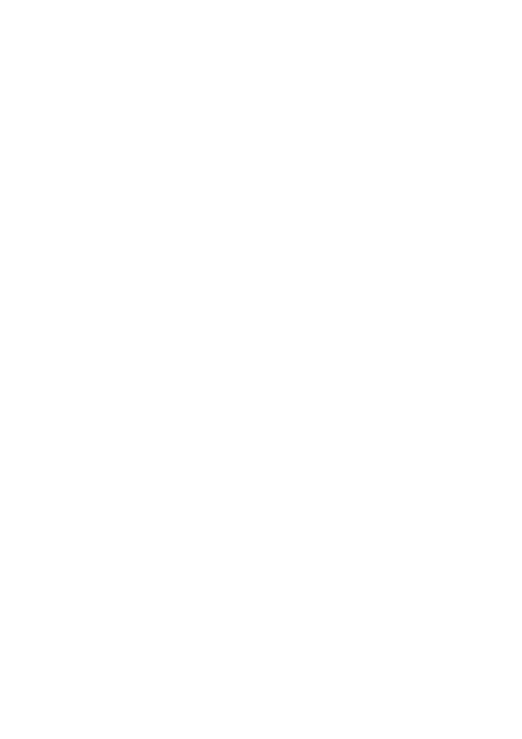| ---- |  |
|------|--|
|      |  |
|      |  |
|      |  |
|      |  |
|      |  |
|      |  |
|      |  |
|      |  |
|      |  |
|      |  |
|      |  |
|      |  |
|      |  |
|      |  |
|      |  |
|      |  |
|      |  |
|      |  |
|      |  |
|      |  |
|      |  |
|      |  |
|      |  |
|      |  |
|      |  |
|      |  |
|      |  |
|      |  |
|      |  |
|      |  |
|      |  |
|      |  |
|      |  |
|      |  |
|      |  |
|      |  |
|      |  |
|      |  |
|      |  |
|      |  |
|      |  |
|      |  |
|      |  |
|      |  |
|      |  |
|      |  |
|      |  |
|      |  |
|      |  |
|      |  |
|      |  |
|      |  |
|      |  |
|      |  |
|      |  |
|      |  |
|      |  |
|      |  |

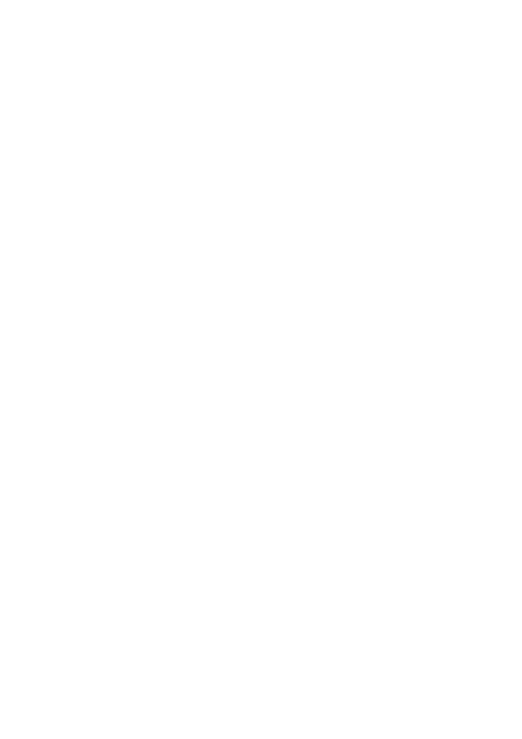| ---- |  |
|------|--|
|      |  |
|      |  |
|      |  |
|      |  |
|      |  |
|      |  |
|      |  |
|      |  |
|      |  |
|      |  |
|      |  |
|      |  |
|      |  |
|      |  |
|      |  |
|      |  |
|      |  |
|      |  |
|      |  |
|      |  |
|      |  |
|      |  |
|      |  |
|      |  |
|      |  |
|      |  |
|      |  |
|      |  |
|      |  |
|      |  |
|      |  |
|      |  |
|      |  |
|      |  |
|      |  |
|      |  |
|      |  |
|      |  |
|      |  |
|      |  |
|      |  |
|      |  |
|      |  |
|      |  |
|      |  |
|      |  |
|      |  |
|      |  |
|      |  |
|      |  |
|      |  |
|      |  |
|      |  |
|      |  |
|      |  |
|      |  |
|      |  |
|      |  |

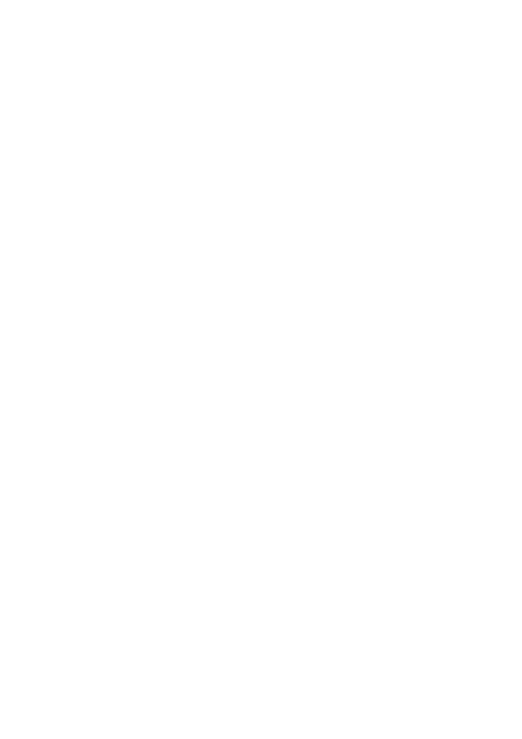| ---- |  |
|------|--|
|      |  |
|      |  |
|      |  |
|      |  |
|      |  |
|      |  |
|      |  |
|      |  |
|      |  |
|      |  |
|      |  |
|      |  |
|      |  |
|      |  |
|      |  |
|      |  |
|      |  |
|      |  |
|      |  |
|      |  |
|      |  |
|      |  |
|      |  |
|      |  |
|      |  |
|      |  |
|      |  |
|      |  |
|      |  |
|      |  |
|      |  |
|      |  |
|      |  |
|      |  |
|      |  |
|      |  |
|      |  |
|      |  |
|      |  |
|      |  |
|      |  |
|      |  |
|      |  |
|      |  |
|      |  |
|      |  |
|      |  |
|      |  |
|      |  |
|      |  |
|      |  |
|      |  |
|      |  |
|      |  |
|      |  |
|      |  |
|      |  |
|      |  |

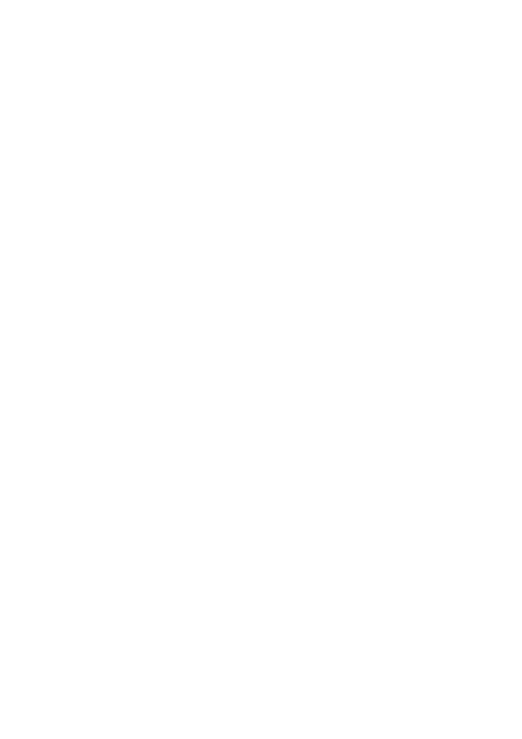| ---- |  |
|------|--|
|      |  |
|      |  |
|      |  |
|      |  |
|      |  |
|      |  |
|      |  |
|      |  |
|      |  |
|      |  |
|      |  |
|      |  |
|      |  |
|      |  |
|      |  |
|      |  |
|      |  |
|      |  |
|      |  |
|      |  |
|      |  |
|      |  |
|      |  |
|      |  |
|      |  |
|      |  |
|      |  |
|      |  |
|      |  |
|      |  |
|      |  |
|      |  |
|      |  |
|      |  |
|      |  |
|      |  |
|      |  |
|      |  |
|      |  |
|      |  |
|      |  |
|      |  |
|      |  |
|      |  |
|      |  |
|      |  |
|      |  |
|      |  |
|      |  |
|      |  |
|      |  |
|      |  |
|      |  |
|      |  |
|      |  |
|      |  |
|      |  |
|      |  |

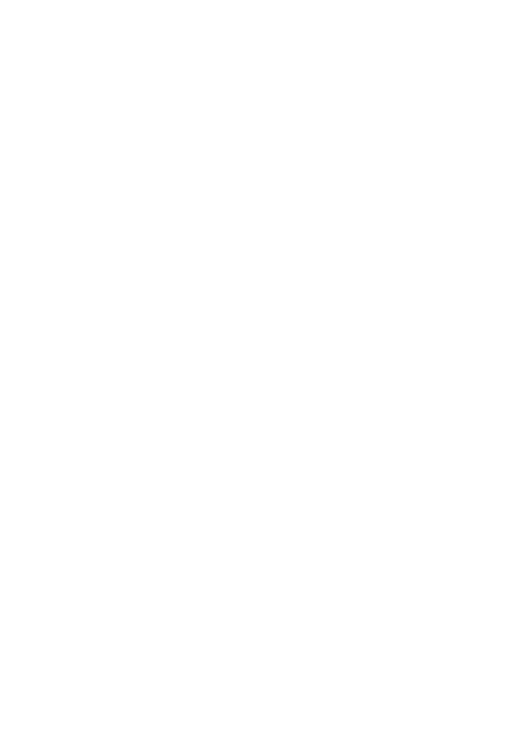| ---- |  |
|------|--|
|      |  |
|      |  |
|      |  |
|      |  |
|      |  |
|      |  |
|      |  |
|      |  |
|      |  |
|      |  |
|      |  |
|      |  |
|      |  |
|      |  |
|      |  |
|      |  |
|      |  |
|      |  |
|      |  |
|      |  |
|      |  |
|      |  |
|      |  |
|      |  |
|      |  |
|      |  |
|      |  |
|      |  |
|      |  |
|      |  |
|      |  |
|      |  |
|      |  |
|      |  |
|      |  |
|      |  |
|      |  |
|      |  |
|      |  |
|      |  |
|      |  |
|      |  |
|      |  |
|      |  |
|      |  |
|      |  |
|      |  |
|      |  |
|      |  |
|      |  |
|      |  |
|      |  |
|      |  |
|      |  |
|      |  |
|      |  |
|      |  |
|      |  |

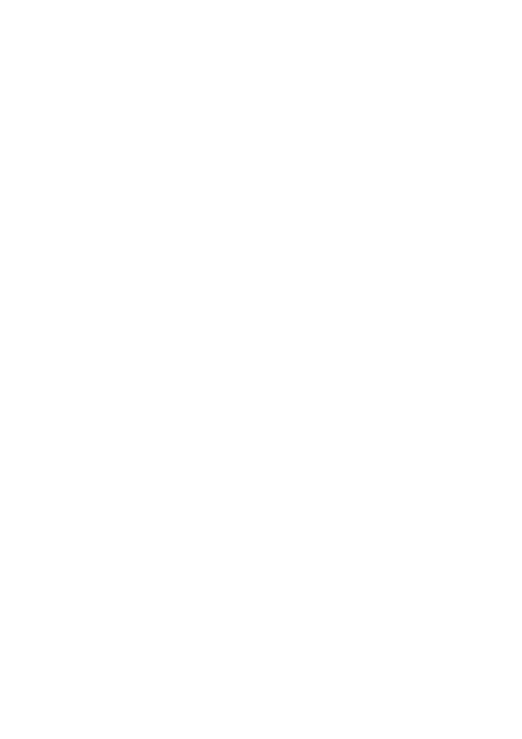| ---- |  |
|------|--|
|      |  |
|      |  |
|      |  |
|      |  |
|      |  |
|      |  |
|      |  |
|      |  |
|      |  |
|      |  |
|      |  |
|      |  |
|      |  |
|      |  |
|      |  |
|      |  |
|      |  |
|      |  |
|      |  |
|      |  |
|      |  |
|      |  |
|      |  |
|      |  |
|      |  |
|      |  |
|      |  |
|      |  |
|      |  |
|      |  |
|      |  |
|      |  |
|      |  |
|      |  |
|      |  |
|      |  |
|      |  |
|      |  |
|      |  |
|      |  |
|      |  |
|      |  |
|      |  |
|      |  |
|      |  |
|      |  |
|      |  |
|      |  |
|      |  |
|      |  |
|      |  |
|      |  |
|      |  |
|      |  |
|      |  |
|      |  |
|      |  |
|      |  |

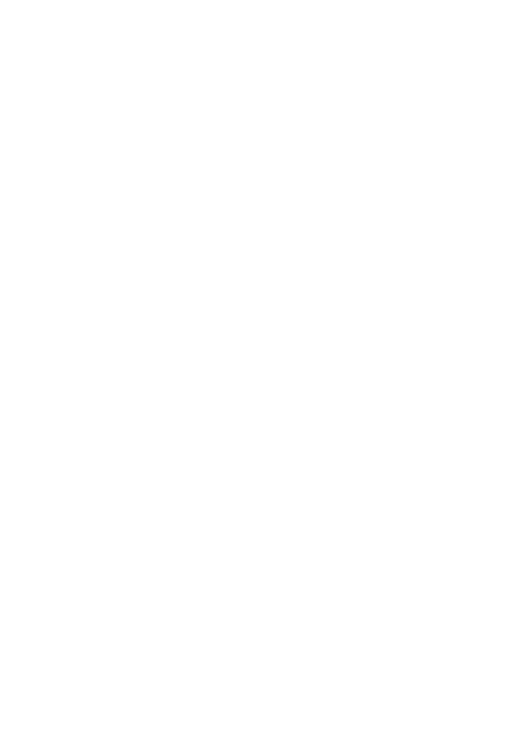| ---- |  |
|------|--|
|      |  |
|      |  |
|      |  |
|      |  |
|      |  |
|      |  |
|      |  |
|      |  |
|      |  |
|      |  |
|      |  |
|      |  |
|      |  |
|      |  |
|      |  |
|      |  |
|      |  |
|      |  |
|      |  |
|      |  |
|      |  |
|      |  |
|      |  |
|      |  |
|      |  |
|      |  |
|      |  |
|      |  |
|      |  |
|      |  |
|      |  |
|      |  |
|      |  |
|      |  |
|      |  |
|      |  |
|      |  |
|      |  |
|      |  |
|      |  |
|      |  |
|      |  |
|      |  |
|      |  |
|      |  |
|      |  |
|      |  |
|      |  |
|      |  |
|      |  |
|      |  |
|      |  |
|      |  |
|      |  |
|      |  |
|      |  |
|      |  |
|      |  |

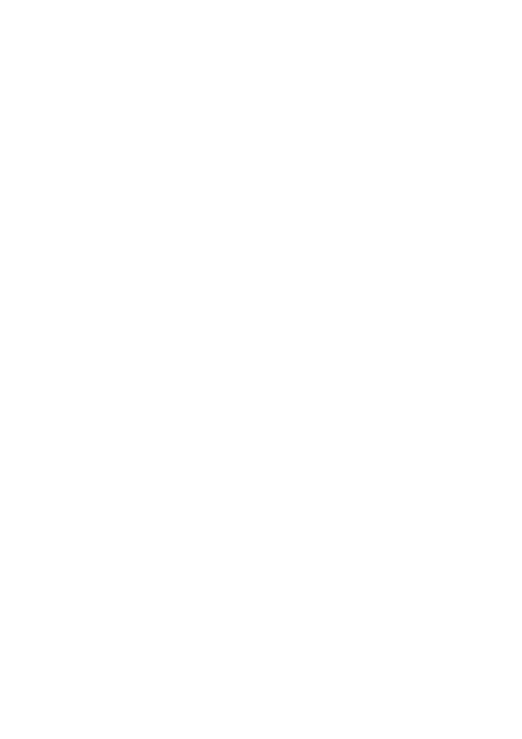| ---- |  |
|------|--|
|      |  |
|      |  |
|      |  |
|      |  |
|      |  |
|      |  |
|      |  |
|      |  |
|      |  |
|      |  |
|      |  |
|      |  |
|      |  |
|      |  |
|      |  |
|      |  |
|      |  |
|      |  |
|      |  |
|      |  |
|      |  |
|      |  |
|      |  |
|      |  |
|      |  |
|      |  |
|      |  |
|      |  |
|      |  |
|      |  |
|      |  |
|      |  |
|      |  |
|      |  |
|      |  |
|      |  |
|      |  |
|      |  |
|      |  |
|      |  |
|      |  |
|      |  |
|      |  |
|      |  |
|      |  |
|      |  |
|      |  |
|      |  |
|      |  |
|      |  |
|      |  |
|      |  |
|      |  |
|      |  |
|      |  |
|      |  |
|      |  |
|      |  |

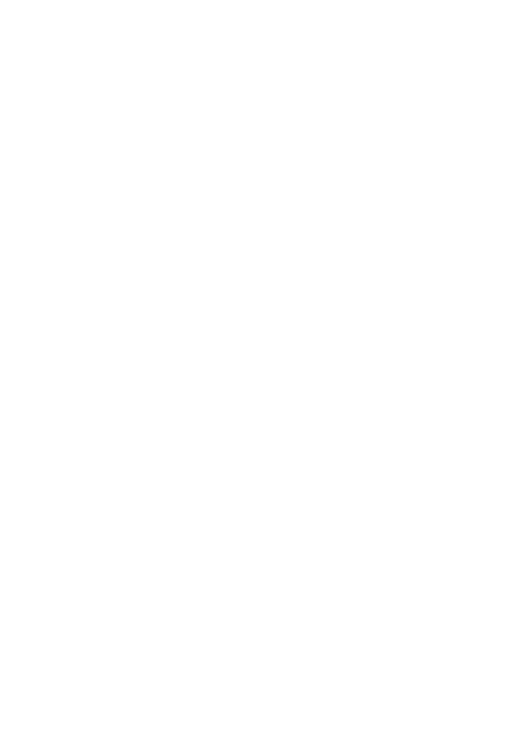| ---- |  |
|------|--|
|      |  |
|      |  |
|      |  |
|      |  |
|      |  |
|      |  |
|      |  |
|      |  |
|      |  |
|      |  |
|      |  |
|      |  |
|      |  |
|      |  |
|      |  |
|      |  |
|      |  |
|      |  |
|      |  |
|      |  |
|      |  |
|      |  |
|      |  |
|      |  |
|      |  |
|      |  |
|      |  |
|      |  |
|      |  |
|      |  |
|      |  |
|      |  |
|      |  |
|      |  |
|      |  |
|      |  |
|      |  |
|      |  |
|      |  |
|      |  |
|      |  |
|      |  |
|      |  |
|      |  |
|      |  |
|      |  |
|      |  |
|      |  |
|      |  |
|      |  |
|      |  |
|      |  |
|      |  |
|      |  |
|      |  |
|      |  |
|      |  |
|      |  |

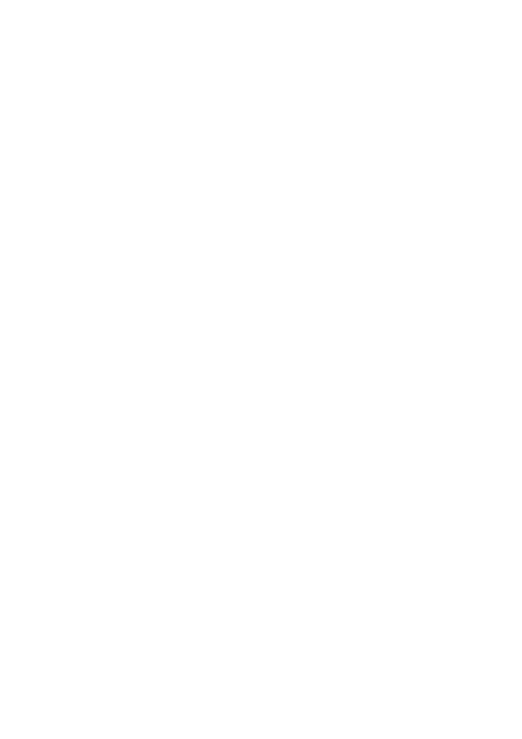| ---- |  |
|------|--|
|      |  |
|      |  |
|      |  |
|      |  |
|      |  |
|      |  |
|      |  |
|      |  |
|      |  |
|      |  |
|      |  |
|      |  |
|      |  |
|      |  |
|      |  |
|      |  |
|      |  |
|      |  |
|      |  |
|      |  |
|      |  |
|      |  |
|      |  |
|      |  |
|      |  |
|      |  |
|      |  |
|      |  |
|      |  |
|      |  |
|      |  |
|      |  |
|      |  |
|      |  |
|      |  |
|      |  |
|      |  |
|      |  |
|      |  |
|      |  |
|      |  |
|      |  |
|      |  |
|      |  |
|      |  |
|      |  |
|      |  |
|      |  |
|      |  |
|      |  |
|      |  |
|      |  |
|      |  |
|      |  |
|      |  |
|      |  |
|      |  |
|      |  |

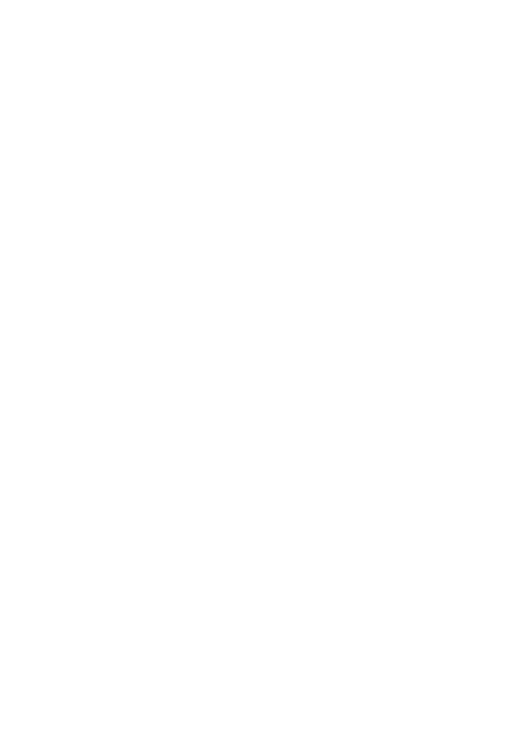| ---- |  |
|------|--|
|      |  |
|      |  |
|      |  |
|      |  |
|      |  |
|      |  |
|      |  |
|      |  |
|      |  |
|      |  |
|      |  |
|      |  |
|      |  |
|      |  |
|      |  |
|      |  |
|      |  |
|      |  |
|      |  |
|      |  |
|      |  |
|      |  |
|      |  |
|      |  |
|      |  |
|      |  |
|      |  |
|      |  |
|      |  |
|      |  |
|      |  |
|      |  |
|      |  |
|      |  |
|      |  |
|      |  |
|      |  |
|      |  |
|      |  |
|      |  |
|      |  |
|      |  |
|      |  |
|      |  |
|      |  |
|      |  |
|      |  |
|      |  |
|      |  |
|      |  |
|      |  |
|      |  |
|      |  |
|      |  |
|      |  |
|      |  |
|      |  |
|      |  |